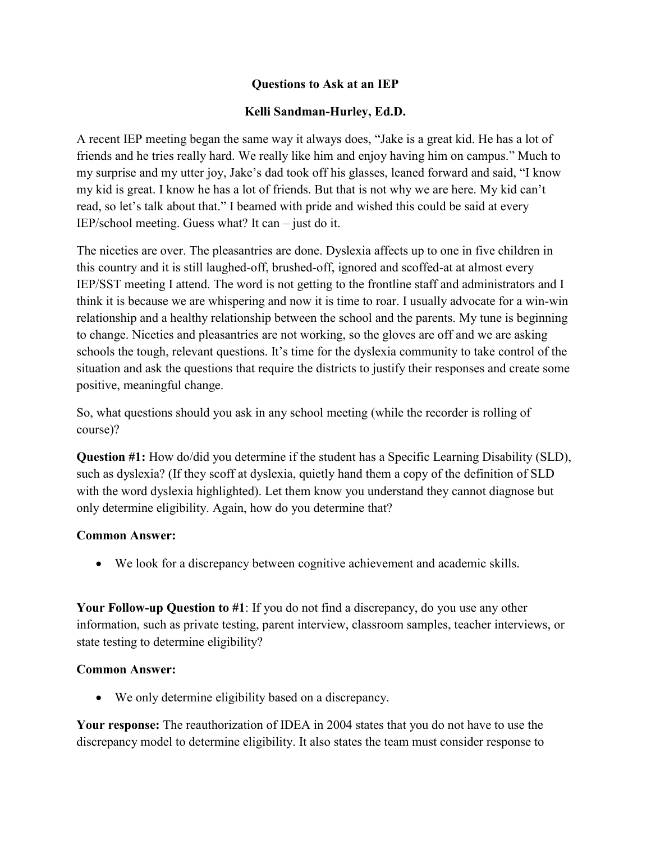### **Questions to Ask at an IEP**

### **Kelli Sandman-Hurley, Ed.D.**

A recent IEP meeting began the same way it always does, "Jake is a great kid. He has a lot of friends and he tries really hard. We really like him and enjoy having him on campus." Much to my surprise and my utter joy, Jake's dad took off his glasses, leaned forward and said, "I know my kid is great. I know he has a lot of friends. But that is not why we are here. My kid can't read, so let's talk about that." I beamed with pride and wished this could be said at every IEP/school meeting. Guess what? It can – just do it.

The niceties are over. The pleasantries are done. Dyslexia affects up to one in five children in this country and it is still laughed-off, brushed-off, ignored and scoffed-at at almost every IEP/SST meeting I attend. The word is not getting to the frontline staff and administrators and I think it is because we are whispering and now it is time to roar. I usually advocate for a win-win relationship and a healthy relationship between the school and the parents. My tune is beginning to change. Niceties and pleasantries are not working, so the gloves are off and we are asking schools the tough, relevant questions. It's time for the dyslexia community to take control of the situation and ask the questions that require the districts to justify their responses and create some positive, meaningful change.

So, what questions should you ask in any school meeting (while the recorder is rolling of course)?

**Question #1:** How do/did you determine if the student has a Specific Learning Disability (SLD), such as dyslexia? (If they scoff at dyslexia, quietly hand them a copy of the definition of SLD with the word dyslexia highlighted). Let them know you understand they cannot diagnose but only determine eligibility. Again, how do you determine that?

#### **Common Answer:**

We look for a discrepancy between cognitive achievement and academic skills.

**Your Follow-up Question to #1**: If you do not find a discrepancy, do you use any other information, such as private testing, parent interview, classroom samples, teacher interviews, or state testing to determine eligibility?

#### **Common Answer:**

We only determine eligibility based on a discrepancy.

**Your response:** The reauthorization of IDEA in 2004 states that you do not have to use the discrepancy model to determine eligibility. It also states the team must consider response to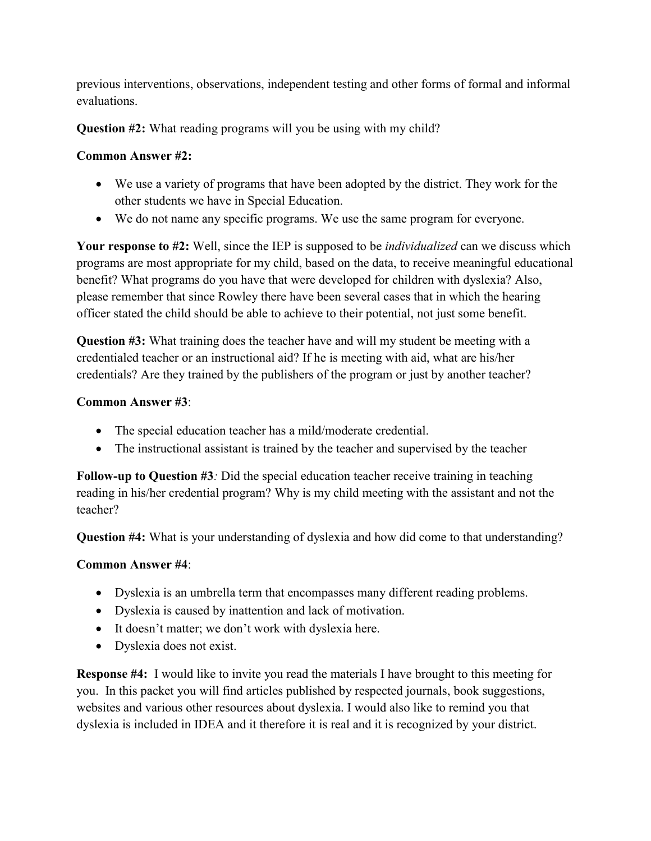previous interventions, observations, independent testing and other forms of formal and informal evaluations.

**Question #2:** What reading programs will you be using with my child?

# **Common Answer #2:**

- We use a variety of programs that have been adopted by the district. They work for the other students we have in Special Education.
- We do not name any specific programs. We use the same program for everyone.

**Your response to #2:** Well, since the IEP is supposed to be *individualized* can we discuss which programs are most appropriate for my child, based on the data, to receive meaningful educational benefit? What programs do you have that were developed for children with dyslexia? Also, please remember that since Rowley there have been several cases that in which the hearing officer stated the child should be able to achieve to their potential, not just some benefit.

**Question #3:** What training does the teacher have and will my student be meeting with a credentialed teacher or an instructional aid? If he is meeting with aid, what are his/her credentials? Are they trained by the publishers of the program or just by another teacher?

# **Common Answer #3**:

- The special education teacher has a mild/moderate credential.
- The instructional assistant is trained by the teacher and supervised by the teacher

**Follow-up to Question #3***:* Did the special education teacher receive training in teaching reading in his/her credential program? Why is my child meeting with the assistant and not the teacher?

**Question #4:** What is your understanding of dyslexia and how did come to that understanding?

## **Common Answer #4**:

- Dyslexia is an umbrella term that encompasses many different reading problems.
- Dyslexia is caused by inattention and lack of motivation.
- It doesn't matter; we don't work with dyslexia here.
- Dyslexia does not exist.

**Response #4:** I would like to invite you read the materials I have brought to this meeting for you. In this packet you will find articles published by respected journals, book suggestions, websites and various other resources about dyslexia. I would also like to remind you that dyslexia is included in IDEA and it therefore it is real and it is recognized by your district.